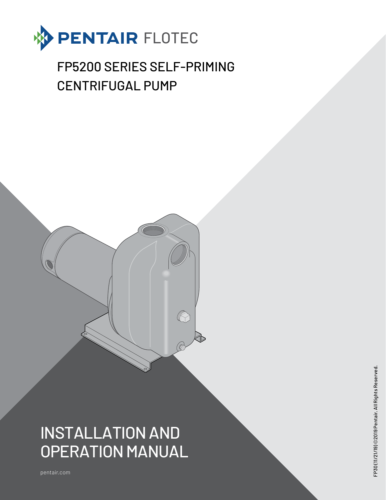

# FP5200 SERIES SELF-PRIMING CENTRIFUGAL PUMP

# INSTALLATION AND OPERATION MANUAL

pentair.com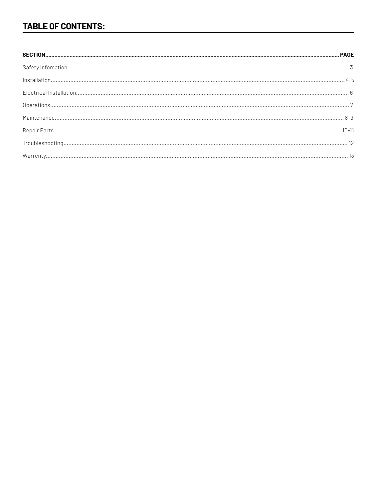# **TABLE OF CONTENTS:**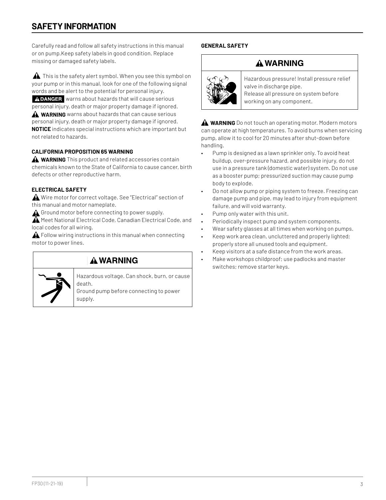# **SAFETY INFORMATION**

Carefully read and follow all safety instructions in this manual or on pump.Keep safety labels in good condition. Replace missing or damaged safety labels.

 $\mathbf A$  This is the safety alert symbol. When you see this symbol on your pump or in this manual, look for one of the following signal words and be alert to the potential for personal injury. A DANGER warns about hazards that will cause serious personal injury, death or major property damage if ignored.

**A WARNING** warns about hazards that can cause serious personal injury, death or major property damage if ignored. **NOTICE** indicates special instructions which are important but not related to hazards.

# **CALIFORNIA PROPOSITION 65 WARNING**

**A** WARNING This product and related accessories contain chemicals known to the State of California to cause cancer, birth defects or other reproductive harm.

# **ELECTRICAL SAFETY**

Wire motor for correct voltage. See "Electrical" section of this manual and motor nameplate.

 $\bigtriangleup$  Ground motor before connecting to power supply.

 $\blacktriangle$  Meet National Electrical Code, Canadian Electrical Code, and local codes for all wiring.

 $\bigwedge$  Follow wiring instructions in this manual when connecting motor to power lines.

# **A WARNING**

Hazardous voltage. Can shock, burn, or cause death.

Ground pump before connecting to power supply.

# **GENERAL SAFETY**

# **A WARNING**



Hazardous pressure! Install pressure relief valve in discharge pipe. Release all pressure on system before working on any component.

**A** WARNING Do not touch an operating motor. Modern motors can operate at high temperatures. To avoid burns when servicing pump, allow it to cool for 20 minutes after shut-down before handling.

- Pump is designed as a lawn sprinkler only. To avoid heat buildup, over-pressure hazard, and possible injury, do not use in a pressure tank (domestic water) system. Do not use as a booster pump; pressurized suction may cause pump body to explode.
- Do not allow pump or piping system to freeze. Freezing can damage pump and pipe, may lead to injury from equipment failure, and will void warranty.
- Pump only water with this unit.
- Periodically inspect pump and system components.
- Wear safety glasses at all times when working on pumps.
- Keep work area clean, uncluttered and properly lighted; properly store all unused tools and equipment.
- Keep visitors at a safe distance from the work areas.
- Make workshops childproof; use padlocks and master switches; remove starter keys.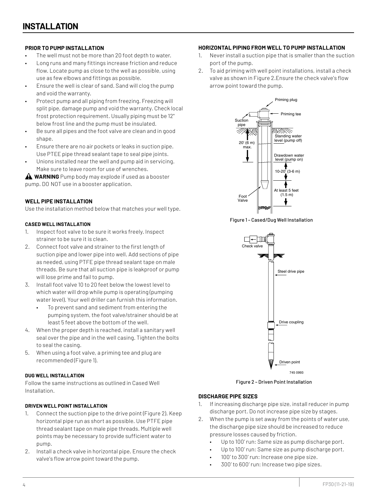# **PRIOR TO PUMP INSTALLATION**

- The well must not be more than 20 foot depth to water.
- Long runs and many fittings increase friction and reduce flow. Locate pump as close to the well as possible, using use as few elbows and fittings as possible.
- Ensure the well is clear of sand. Sand will clog the pump and void the warranty.
- Protect pump and all piping from freezing. Freezing will split pipe, damage pump and void the warranty. Check local frost protection requirement. Usually piping must be 12" below frost line and the pump must be insulated.
- Be sure all pipes and the foot valve are clean and in good shape.
- Ensure there are no air pockets or leaks in suction pipe. Use PTEE pipe thread sealant tape to seal pipe joints.
- Unions installed near the well and pump aid in servicing. Make sure to leave room for use of wrenches.

**A** WARNING Pump body may explode if used as a booster pump. DO NOT use in a booster application.

# **WELL PIPE INSTALLATION**

Use the installation method below that matches your well type.

### **CASED WELL INSTALLATION**

- 1. Inspect foot valve to be sure it works freely. Inspect strainer to be sure it is clean.
- 2. Connect foot valve and strainer to the first length of suction pipe and lower pipe into well. Add sections of pipe as needed, using PTFE pipe thread sealant tape on male threads. Be sure that all suction pipe is leakproof or pump will lose prime and fail to pump.
- 3. Install foot valve 10 to 20 feet below the lowest level to which water will drop while pump is operating (pumping water level). Your well driller can furnish this information.
	- To prevent sand and sediment from entering the pumping system, the foot valve/strainer should be at least 5 feet above the bottom of the well.
- 4. When the proper depth is reached, install a sanitary well seal over the pipe and in the well casing. Tighten the bolts to seal the casing.
- 5. When using a foot valve, a priming tee and plug are recommended (Figure 1).

# **DUG WELL INSTALLATION**

Follow the same instructions as outlined in Cased Well **Installation** 

# **DRIVEN WELL POINT INSTALLATION**

- 1. Connect the suction pipe to the drive point (Figure 2). Keep horizontal pipe run as short as possible. Use PTFE pipe thread sealant tape on male pipe threads. Multiple well points may be necessary to provide sufficient water to pump.
- Install a check valve in horizontal pipe. Ensure the check valve's flow arrow point toward the pump.

### **HORIZONTAL PIPING FROM WELL TO PUMP INSTALLATION**

- 1. Never install a suction pipe that is smaller than the suction port of the pump.
- 2. To aid priming with well point installations, install a check valve as shown in Figure 2.Ensure the check valve's flow arrow point toward the pump.



Figure 1 - Cased/Dug Well Installation



Figure 2 – Driven Point Installation

# **DISCHARGE PIPE SIZES**

- 1. If increasing discharge pipe size, install reducer in pump discharge port. Do not increase pipe size by stages.
- 2. When the pump is set away from the points of water use, the discharge pipe size should be increased to reduce pressure losses caused by friction.
	- Up to 100' run: Same size as pump discharge port.
	- Up to 100' run: Same size as pump discharge port.
	- 100' to 300' run: Increase one pipe size.
	- 300' to 600' run: Increase two pipe sizes.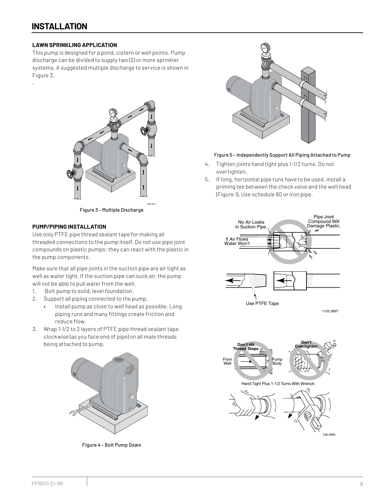# **INSTALLATION**

.

## **LAWN SPRINKLING APPLICATION**

This pump is designed for a pond, cistern or well points. Pump discharge can be divided to supply two (2) or more sprinkler systems. A suggested multiple discharge to service is shown in Figure 3.



Figure 3 – Multiple Discharge

### **PUMP/PIPING INSTALLATION**

Use only PTFE pipe thread sealant tape for making all threaded connections to the pump itself. Do not use pipe joint compounds on plastic pumps: they can react with the plastic in the pump components.

Make sure that all pipe joints in the suction pipe are air tight as well as water tight. If the suction pipe can suck air, the pump will not be able to pull water from the well.

- 1. Bolt pump to solid, level foundation.
- 2. Support all piping connected to the pump.
	- Install pump as close to well head as possible. Long piping runs and many fittings create friction and reduce flow.
- 3. Wrap 1-1/2 to 2 layers of PTFE pipe thread sealant tape clockwise (as you face end of pipe) on all male threads being attached to pump.



Figure 4 - Bolt Pump Down



### Figure 5 – Independently Support All Piping Attached to Pump

- 4. Tighten joints hand tight plus 1-1/2 turns. Do not overtighten.
- 5. If long, horizontal pipe runs have to be used, install a priming tee between the check valve and the well head (Figure 1). Use schedule 80 or iron pipe.



1102 0697



748 0993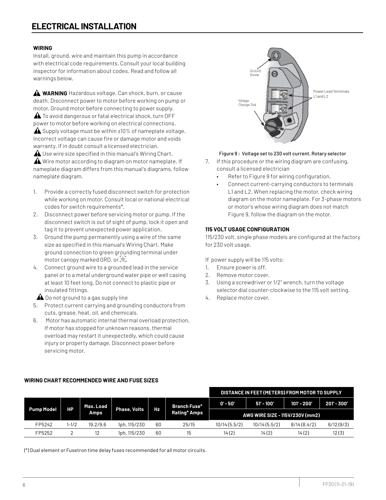# **WIRING**

Install, ground, wire and maintain this pump in accordance with electrical code requirements. Consult your local building inspector for information about codes. Read and follow all warnings below.

**WARNING** Hazardous voltage. Can shock, burn, or cause death. Disconnect power to motor before working on pump or motor. Ground motor before connecting to power supply.  $\triangle$  To avoid dangerous or fatal electrical shock, turn OFF power to motor before working on electrical connections.  $\triangle$  Supply voltage must be within  $\pm 10\%$  of nameplate voltage. Incorrect voltage can cause fire or damage motor and voids warranty. If in doubt consult a licensed electrician. **A** Use wire size specified in this manual's Wiring Chart. Wire motor according to diagram on motor nameplate. If nameplate diagram differs from this manual's diagrams, follow nameplate diagram.

- 1. Provide a correctly fused disconnect switch for protection while working on motor. Consult local or national electrical codes for switch requirements\*.
- 2. Disconnect power before servicing motor or pump. If the disconnect switch is out of sight of pump, lock it open and tag it to prevent unexpected power application.
- 3. Ground the pump permanently using a wire of the same size as specified in this manual's Wiring Chart. Make ground connection to green grounding terminal under motor canopy marked GRD. or  $\leftarrow$ .
- 4. Connect ground wire to a grounded lead in the service panel or to a metal underground water pipe or well casing at least 10 feet long. Do not connect to plastic pipe or insulated fittings.

 $\triangle$  Do not ground to a gas supply line

- 5. Protect current carrying and grounding conductors from cuts, grease, heat, oil, and chemicals.
- 6. Motor has automatic internal thermal overload protection. If motor has stopped for unknown reasons, thermal overload may restart it unexpectedly, which could cause injury or property damage. Disconnect power before servicing motor.



### Figure 9 : Voltage set to 230 volt current. Rotary selector

- 7. If this procedure or the wiring diagram are confusing, consult a licensed electrician
	- Refer to Figure 9 for wiring configuration.
	- Connect current-carrying conductors to terminals L1 and L2. When replacing the motor, check wiring diagram on the motor nameplate. For 3-phase motors or motor's whose wiring diagram does not match Figure 9, follow the diagram on the motor.

# **115 VOLT USAGE CONFIGURATION**

115/230 volt, single phase models are configured at the factory for 230 volt usage.

If power supply will be 115 volts:

- 1. Ensure power is off.
- 2. Remove motor cover.
- 3. Using a screwdriver or 1/2" wrench, turn the voltage selector dial counter-clockwise to the 115 volt setting.
- 4. Replace motor cover.

# **WIRING CHART RECOMMENDED WIRE AND FUSE SIZES**

|                   |           |           |              |    |                     | DISTANCE IN FEET (METERS) FROM MOTOR TO SUPPLY |                                 |             |              |
|-------------------|-----------|-----------|--------------|----|---------------------|------------------------------------------------|---------------------------------|-------------|--------------|
|                   |           | Max. Load |              |    | Branch Fuse*        | $0' - 50'$                                     | $51' - 100'$                    | 101' - 200' | $201 - 300'$ |
| <b>Pump Model</b> | <b>HP</b> | Amps      | Phase, Volts | Hz | <b>Rating* Amps</b> |                                                | AWG WIRE SIZE - 115V/230V (mm2) |             |              |
| FP5242            | 1-1/2     | 19.2/9.6  | 1ph, 115/230 | 60 | 25/15               | 10/14(5.5/2)                                   | 10/14(5.5/2)                    | 8/14(8.4/2) | 6/12(9/3)    |
| FP5252            |           | 12        | 1ph, 115/230 | 60 | 15                  | 14(2)                                          | 14(2)                           | 14(2)       | 12(3)        |

(\*) Dual element or Fusetron time delay fuses recommended for all motor circuits.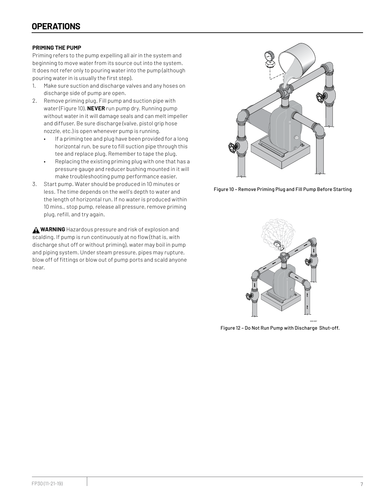# **PRIMING THE PUMP**

Priming refers to the pump expelling all air in the system and beginning to move water from its source out into the system. It does not refer only to pouring water into the pump (although pouring water in is usually the first step).

- 1. Make sure suction and discharge valves and any hoses on discharge side of pump are open.
- 2. Remove priming plug. Fill pump and suction pipe with water (Figure 10). **NEVER** run pump dry. Running pump without water in it will damage seals and can melt impeller and diffuser. Be sure discharge (valve, pistol grip hose nozzle, etc.) is open whenever pump is running.
	- If a priming tee and plug have been provided for a long horizontal run, be sure to fill suction pipe through this tee and replace plug. Remember to tape the plug.
	- Replacing the existing priming plug with one that has a pressure gauge and reducer bushing mounted in it will make troubleshooting pump performance easier.
- 3. Start pump. Water should be produced in 10 minutes or less. The time depends on the well's depth to water and the length of horizontal run. If no water is produced within 10 mins., stop pump, release all pressure, remove priming plug, refill, and try again.

 **WARNING** Hazardous pressure and risk of explosion and scalding. If pump is run continuously at no flow (that is, with discharge shut off or without priming), water may boil in pump and piping system. Under steam pressure, pipes may rupture, blow off of fittings or blow out of pump ports and scald anyone near.



Figure 10 – Remove Priming Plug and Fill Pump Before Starting



Figure 12 – Do Not Run Pump with Discharge Shut-off.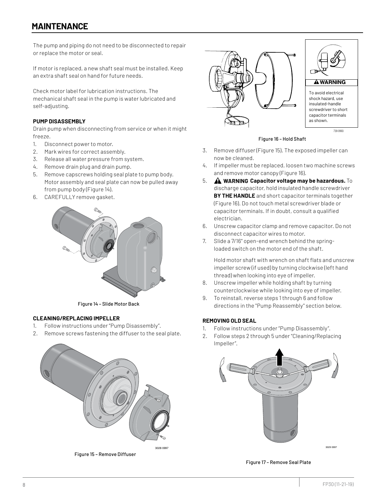The pump and piping do not need to be disconnected to repair or replace the motor or seal.

If motor is replaced, a new shaft seal must be installed. Keep an extra shaft seal on hand for future needs.

Check motor label for lubrication instructions. The mechanical shaft seal in the pump is water lubricated and self-adjusting.

# **PUMP DISASSEMBLY**

Drain pump when disconnecting from service or when it might freeze.

- 1. Disconnect power to motor.
- 2. Mark wires for correct assembly.
- 3. Release all water pressure from system.
- 4. Remove drain plug and drain pump.
- 5. Remove capscrews holding seal plate to pump body. Motor assembly and seal plate can now be pulled away from pump body (Figure 14).
- 6. CAREFULLY remove gasket.



Figure 14 – Slide Motor Back

# **CLEANING/REPLACING IMPELLER**

- 1. Follow instructions under "Pump Disassembly".
- 2. Remove screws fastening the diffuser to the seal plate.







739 0993

### Figure 16 – Hold Shaft

- 3. Remove diffuser (Figure 15). The exposed impeller can now be cleaned.
- 4. If impeller must be replaced, loosen two machine screws and remove motor canopy (Figure 16).
- **E.** A WARNING Capacitor voltage may be hazardous. To discharge capacitor, hold insulated handle screwdriver **BY THE HANDLE** and short capacitor terminals together (Figure 16). Do not touch metal screwdriver blade or capacitor terminals. If in doubt, consult a qualified electrician.
- 6. Unscrew capacitor clamp and remove capacitor. Do not disconnect capacitor wires to motor.
- 7. Slide a 7/16" open-end wrench behind the springloaded switch on the motor end of the shaft.

Hold motor shaft with wrench on shaft flats and unscrew impeller screw (if used) by turning clockwise (left hand thread) when looking into eye of impeller.

- 8. Unscrew impeller while holding shaft by turning counterclockwise while looking into eye of impeller.
- 9. To reinstall, reverse steps 1 through 6 and follow directions in the "Pump Reassembly" section below.

# **REMOVING OLD SEAL**

- 1. Follow instructions under "Pump Disassembly".
- 2. Follow steps 2 through 5 under "Cleaning/Replacing Impeller".



Figure 17 – Remove Seal Plate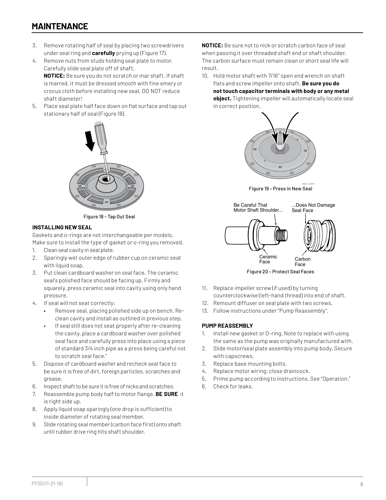# **MAINTENANCE**

- 3. Remove rotating half of seal by placing two screwdrivers under seal ring and **carefully** prying up (Figure 17).
- 4. Remove nuts from studs holding seal plate to motor. Carefully slide seal plate off of shaft. **NOTICE:** Be sure you do not scratch or mar shaft. If shaft is marred, it must be dressed smooth with fine emery or crocus cloth before installing new seal. DO NOT reduce shaft diameter!
- 5. Place seal plate half face down on flat surface and tap out stationary half of seal (Figure 18).



Figure 18 - Tap Out Seal

# **INSTALLING NEW SEAL**

Gaskets and o-rings are not interchangeable per models. Make sure to install the type of gasket or o-ring you removed.

- 1. Clean seal cavity in seal plate.
- 2. Sparingly wet outer edge of rubber cup on ceramic seat with liquid soap.
- 3. Put clean cardboard washer on seal face. The ceramic seal's polished face should be facing up. Firmly and squarely, press ceramic seal into cavity using only hand pressure.
- 4. If seal will not seat correctly:
	- Remove seal, placing polished side up on bench. Reclean cavity and install as outlined in previous step.
	- If seal still does not seat properly after re-cleaning the cavity, place a cardboard washer over polished seal face and carefully press into place using a piece of standard 3/4 inch pipe as a press being careful not to scratch seal face."
- 5. Dispose of cardboard washer and recheck seal face to be sure it is free of dirt, foreign particles, scratches and grease.
- 6. Inspect shaft to be sure it is free of nicks and scratches.
- 7. Reassemble pump body half to motor flange. **BE SURE** it is right side up.
- 8. Apply liquid soap sparingly (one drop is sufficient) to inside diameter of rotating seal member.
- 9. Slide rotating seal member (carbon face first) onto shaft until rubber drive ring hits shaft shoulder.

**NOTICE:** Be sure not to nick or scratch carbon face of seal when passing it over threaded shaft end or shaft shoulder. The carbon surface must remain clean or short seal life will result.

10. Hold motor shaft with 7/16" open end wrench on shaft flats and screw impeller onto shaft. **Be sure you do not touch capacitor terminals with body or any metal object.** Tightening impeller will automatically locate seal in correct position.



معد ہے۔<br>Figure 19 – Press in New Seal



Figure 20 – Protect Seal Faces

- 11. Replace impeller screw (if used) by turning counterclockwise (left-hand thread) into end of shaft.
- 12. Remount diffuser on seal plate with two screws.
- 13. Follow instructions under "Pump Reassembly".

# **PUMP REASSEMBLY**

- 1. Install new gasket or O-ring. Note to replace with using the same as the pump was originally manufactured with.
- 2. Slide motor/seal plate assembly into pump body. Secure with capscrews.
- 3. Replace base mounting bolts.
- 4. Replace motor wiring; close draincock.
- 5. Prime pump according to instructions. See "Operation."
- 6. Check for leaks.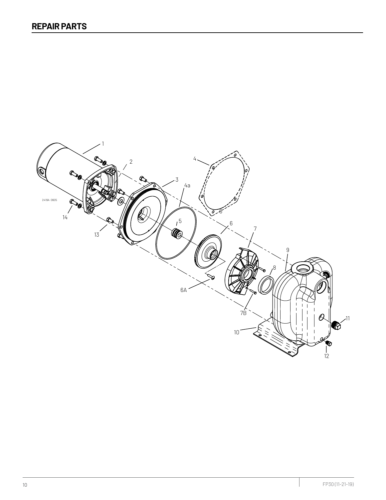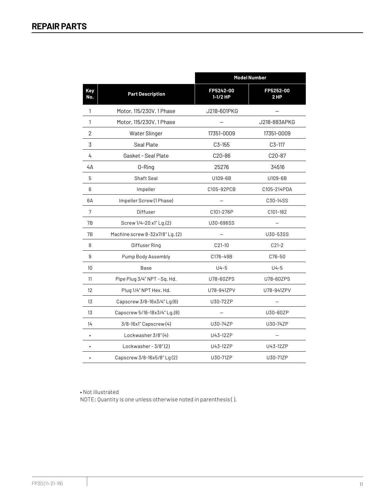|                   |                                 | <b>Model Number</b>     |                   |  |
|-------------------|---------------------------------|-------------------------|-------------------|--|
| Key<br>No.        | <b>Part Description</b>         | FP5242-00<br>$1-1/2$ HP | FP5252-00<br>2 HP |  |
| $\mathbf{1}$      | Motor, 115/230V, 1 Phase        | J218-601PKG             |                   |  |
| $\mathbf{1}$      | Motor, 115/230V, 1 Phase        |                         | J218-883APKG      |  |
| 2                 | Water Slinger                   | 17351-0009              | 17351-0009        |  |
| 3                 | Seal Plate                      | $C3-155$                | $C3-117$          |  |
| 4                 | Gasket - Seal Plate             | C20-86                  | C20-87            |  |
| 4A                | 0-Ring                          | 25276                   | 34516             |  |
| 5                 | <b>Shaft Seal</b>               | U109-6B                 | U109-6B           |  |
| 6                 | Impeller                        | C105-92PCB              | C105-214PDA       |  |
| 6A                | Impeller Screw (1 Phase)        |                         | C30-14SS          |  |
| 7                 | Diffuser                        | C101-276P               | C101-182          |  |
| 7B                | Screw 1/4-20 x1" Lg.(2)         | U30-696SS               |                   |  |
| 7В                | Machine screw 8-32x7/8" Lg. (2) |                         | U30-53SS          |  |
| 8                 | Diffuser Ring                   | $C21-10$                | $C21-2$           |  |
| 9                 | Pump Body Assembly              | C176-49B                | C76-50            |  |
| 10                | Base                            | $U4-5$                  | $U4-5$            |  |
| 11                | Pipe Plug 3/4" NPT - Sq. Hd.    | U78-60ZPS               | U78-60ZPS         |  |
| $12 \overline{ }$ | Plug 1/4" NPT Hex. Hd.          | U78-941ZPV              | U78-941ZPV        |  |
| 13                | Capscrew 3/8-16x3/4" Lg(6)      | U30-72ZP                |                   |  |
| 13                | Capscrew 5/16-18x3/4" Lg.(8)    |                         | U30-60ZP          |  |
| 14                | $3/8-16x1''$ Capscrew (4)       | U30-74ZP                | U30-74ZP          |  |
| $\bullet$         | Lockwasher 3/8"(4)              | U43-12ZP                |                   |  |
|                   | Lockwasher - 3/8"(2)            | U43-12ZP                | U43-12ZP          |  |
|                   | Capscrew 3/8-16x5/8" Lg(2)      | U30-71ZP                | U30-71ZP          |  |

• Not illustrated

NOTE: Quantity is one unless otherwise noted in parenthesis ( ).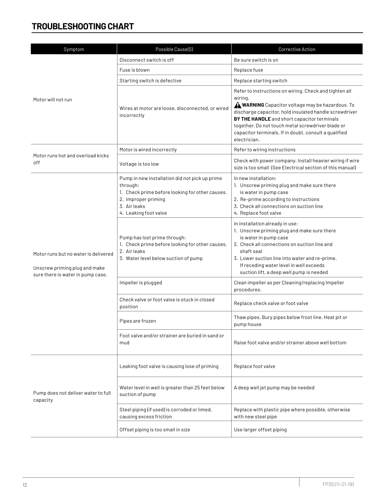# **TROUBLESHOOTING CHART**

| Symptom                                                                                                    | Possible Cause(S)                                                                                                                                                             | <b>Corrective Action</b>                                                                                                                                                                                                                                                                                                                                            |  |
|------------------------------------------------------------------------------------------------------------|-------------------------------------------------------------------------------------------------------------------------------------------------------------------------------|---------------------------------------------------------------------------------------------------------------------------------------------------------------------------------------------------------------------------------------------------------------------------------------------------------------------------------------------------------------------|--|
|                                                                                                            | Disconnect switch is off                                                                                                                                                      | Be sure switch is on                                                                                                                                                                                                                                                                                                                                                |  |
|                                                                                                            | Fuse is blown                                                                                                                                                                 | Replace fuse                                                                                                                                                                                                                                                                                                                                                        |  |
|                                                                                                            | Starting switch is defective                                                                                                                                                  | Replace starting switch                                                                                                                                                                                                                                                                                                                                             |  |
| Motor will not run                                                                                         | Wires at motor are loose, disconnected, or wired<br>incorrectly                                                                                                               | Refer to instructions on wiring. Check and tighten all<br>wiring.<br><b>A</b> WARNING Capacitor voltage may be hazardous. To<br>discharge capacitor, hold insulated handle screwdriver<br>BY THE HANDLE and short capacitor terminals<br>together. Do not touch metal screwdriver blade or<br>capacitor terminals. If in doubt, consult a qualified<br>electrician. |  |
| Motor runs hot and overload kicks                                                                          | Motor is wired incorrectly                                                                                                                                                    | Refer to wiring instructions                                                                                                                                                                                                                                                                                                                                        |  |
| off                                                                                                        | Voltage is too low                                                                                                                                                            | Check with power company. Install heavier wiring if wire<br>size is too small (See Electrical section of this manual)                                                                                                                                                                                                                                               |  |
|                                                                                                            | Pump in new installation did not pick up prime<br>through:<br>1. Check prime before looking for other causes.<br>2. Improper priming<br>3. Air leaks<br>4. Leaking foot valve | In new installation:<br>1. Unscrew priming plug and make sure there<br>is water in pump case<br>2. Re-prime according to instructions<br>3. Check all connections on suction line<br>4. Replace foot valve                                                                                                                                                          |  |
| Motor runs but no water is delivered<br>Unscrew priming plug and make<br>sure there is water in pump case. | Pump has lost prime through:<br>1. Check prime before looking for other causes.<br>2. Air leaks<br>3. Water level below suction of pump                                       | In installation already in use:<br>1. Unscrew priming plug and make sure there<br>is water in pump case<br>2. Check all connections on suction line and<br>shaft seal<br>3. Lower suction line into water and re-prime.<br>If receding water level in well exceeds<br>suction lift, a deep well pump is needed                                                      |  |
|                                                                                                            | Impeller is plugged                                                                                                                                                           | Clean impeller as per Cleaning/replacing Impeller<br>procedures.                                                                                                                                                                                                                                                                                                    |  |
|                                                                                                            | Check valve or foot valve is stuck in closed<br>position                                                                                                                      | Replace check valve or foot valve                                                                                                                                                                                                                                                                                                                                   |  |
|                                                                                                            | Pipes are frozen                                                                                                                                                              | Thaw pipes. Bury pipes below frost line. Heat pit or<br>pump house                                                                                                                                                                                                                                                                                                  |  |
|                                                                                                            | Foot valve and/or strainer are buried in sand or<br>mud                                                                                                                       | Raise foot valve and/or strainer above well bottom                                                                                                                                                                                                                                                                                                                  |  |
|                                                                                                            | Leaking foot valve is causing lose of priming                                                                                                                                 | Replace foot valve                                                                                                                                                                                                                                                                                                                                                  |  |
| Pump does not deliver water to full<br>capacity                                                            | Water level in well is greater than 25 feet below<br>suction of pump                                                                                                          | A deep well jet pump may be needed                                                                                                                                                                                                                                                                                                                                  |  |
|                                                                                                            | Steel piping (if used) is corroded or limed,<br>causing excess friction                                                                                                       | Replace with plastic pipe where possible, otherwise<br>with new steel pipe                                                                                                                                                                                                                                                                                          |  |
|                                                                                                            | Offset piping is too small in size                                                                                                                                            | Use larger offset piping                                                                                                                                                                                                                                                                                                                                            |  |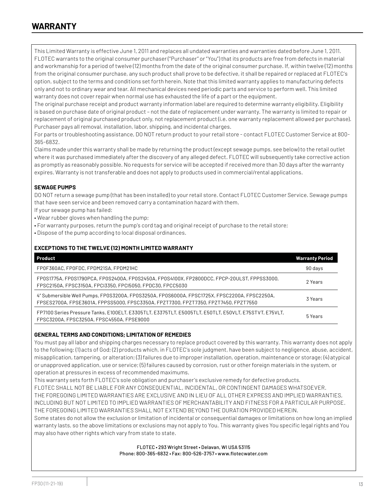This Limited Warranty is effective June 1, 2011 and replaces all undated warranties and warranties dated before June 1, 2011. FLOTEC warrants to the original consumer purchaser ("Purchaser" or "You") that its products are free from defects in material and workmanship for a period of twelve (12) months from the date of the original consumer purchase. If, within twelve (12) months from the original consumer purchase, any such product shall prove to be defective, it shall be repaired or replaced at FLOTEC's option, subject to the terms and conditions set forth herein. Note that this limited warranty applies to manufacturing defects only and not to ordinary wear and tear. All mechanical devices need periodic parts and service to perform well. This limited warranty does not cover repair when normal use has exhausted the life of a part or the equipment.

The original purchase receipt and product warranty information label are required to determine warranty eligibility. Eligibility is based on purchase date of original product – not the date of replacement under warranty. The warranty is limited to repair or replacement of original purchased product only, not replacement product (i.e. one warranty replacement allowed per purchase). Purchaser pays all removal, installation, labor, shipping, and incidental charges.

For parts or troubleshooting assistance, DO NOT return product to your retail store - contact FLOTEC Customer Service at 800- 365-6832.

Claims made under this warranty shall be made by returning the product (except sewage pumps, see below) to the retail outlet where it was purchased immediately after the discovery of any alleged defect. FLOTEC will subsequently take corrective action as promptly as reasonably possible. No requests for service will be accepted if received more than 30 days after the warranty expires. Warranty is not transferable and does not apply to products used in commercial/rental applications.

# **SEWAGE PUMPS**

DO NOT return a sewage pump (that has been installed) to your retail store. Contact FLOTEC Customer Service. Sewage pumps that have seen service and been removed carry a contamination hazard with them.

If your sewage pump has failed:

- Wear rubber gloves when handling the pump;
- For warranty purposes, return the pump's cord tag and original receipt of purchase to the retail store;
- Dispose of the pump according to local disposal ordinances.

# **EXCEPTIONS TO THE TWELVE (12) MONTH LIMITED WARRANTY**

| Product                                                                                                                                                                             | <b>Warranty Period</b> |
|-------------------------------------------------------------------------------------------------------------------------------------------------------------------------------------|------------------------|
| FPOF360AC, FPOFDC, FPDM21SA, FPDM21HC                                                                                                                                               | 90 days                |
| FP0S1775A, FP0S1790PCA, FP0S2400A, FP0S2450A, FP0S4100X, FP2800DCC, FPCP-20ULST, FPPSS3000,<br>FPSC2150A, FPSC3150A, FPCI3350, FPCI5050, FPDC30, FPCC5030                           | 2 Years                |
| 4" Submersible Well Pumps, FP0S3200A, FP0S3250A, FP0S6000A, FPSC1725X, FPSC2200A, FPSC2250A,<br>FPSES2700A, FPSE3601A, FPPSS5000, FPSC3350A, FPZT7300, FPZT7350, FPZT7450, FPZT7550 | 3 Years                |
| FP7100 Series Pressure Tanks, E100ELT, E3305TLT, E3375TLT, E5005TLT, E50TLT, E50VLT, E75STVT, E75VLT,<br>FPSC3200A, FPSC3250A, FPSC4550A, FPSE9000                                  | 5 Years                |

# **GENERAL TERMS AND CONDITIONS; LIMITATION OF REMEDIES**

You must pay all labor and shipping charges necessary to replace product covered by this warranty. This warranty does not apply to the following: (1) acts of God; (2) products which, in FLOTEC's sole judgment, have been subject to negligence, abuse, accident, misapplication, tampering, or alteration; (3) failures due to improper installation, operation, maintenance or storage; (4) atypical or unapproved application, use or service; (5) failures caused by corrosion, rust or other foreign materials in the system, or operation at pressures in excess of recommended maximums.

This warranty sets forth FLOTEC's sole obligation and purchaser's exclusive remedy for defective products.

FLOTEC SHALL NOT BE LIABLE FOR ANY CONSEQUENTIAL, INCIDENTAL, OR CONTINGENT DAMAGES WHATSOEVER.

THE FOREGOING LIMITED WARRANTIES ARE EXCLUSIVE AND IN LIEU OF ALL OTHER EXPRESS AND IMPLIED WARRANTIES, INCLUDING BUT NOT LIMITED TO IMPLIED WARRANTIES OF MERCHANTABILITY AND FITNESS FOR A PARTICULAR PURPOSE. THE FOREGOING LIMITED WARRANTIES SHALL NOT EXTEND BEYOND THE DURATION PROVIDED HEREIN.

Some states do not allow the exclusion or limitation of incidental or consequential damages or limitations on how long an implied warranty lasts, so the above limitations or exclusions may not apply to You. This warranty gives You specific legal rights and You may also have other rights which vary from state to state.

> FLOTEC • 293 Wright Street • Delavan, WI USA 53115 Phone: 800-365-6832 • Fax: 800-526-3757 • www.flotecwater.com